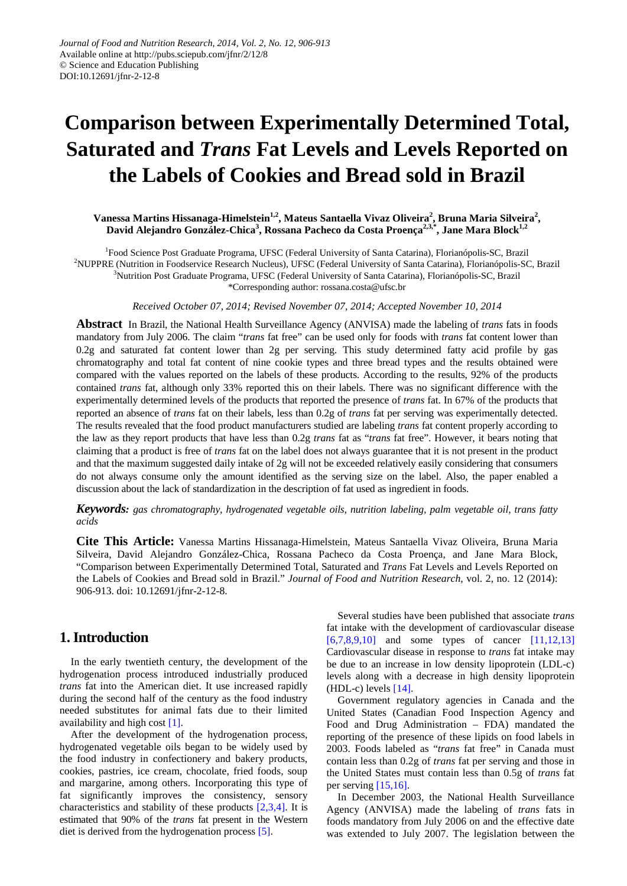# **Comparison between Experimentally Determined Total, Saturated and** *Trans* **Fat Levels and Levels Reported on the Labels of Cookies and Bread sold in Brazil**

### **Vanessa Martins Hissanaga-Himelstein1,2, Mateus Santaella Vivaz Oliveira<sup>2</sup> , Bruna Maria Silveira<sup>2</sup> , David Alejandro González-Chica<sup>3</sup> , Rossana Pacheco da Costa Proença2,3,\*, Jane Mara Block1,2**

<sup>1</sup>Food Science Post Graduate Programa, UFSC (Federal University of Santa Catarina), Florianópolis-SC, Brazil 2 NUPPRE (Nutrition in Foodservice Research Nucleus), UFSC (Federal University of Santa Catarina), Florianópolis-SC, Brazil 3 Nutrition Post Graduate Programa, UFSC (Federal University of Santa Catarina), Florianópolis-SC, Brazil \*Corresponding author: rossana.costa@ufsc.br

*Received October 07, 2014; Revised November 07, 2014; Accepted November 10, 2014*

**Abstract** In Brazil, the National Health Surveillance Agency (ANVISA) made the labeling of *trans* fats in foods mandatory from July 2006. The claim "*trans* fat free" can be used only for foods with *trans* fat content lower than 0.2g and saturated fat content lower than 2g per serving. This study determined fatty acid profile by gas chromatography and total fat content of nine cookie types and three bread types and the results obtained were compared with the values reported on the labels of these products. According to the results, 92% of the products contained *trans* fat, although only 33% reported this on their labels. There was no significant difference with the experimentally determined levels of the products that reported the presence of *trans* fat. In 67% of the products that reported an absence of *trans* fat on their labels, less than 0.2g of *trans* fat per serving was experimentally detected. The results revealed that the food product manufacturers studied are labeling *trans* fat content properly according to the law as they report products that have less than 0.2g *trans* fat as "*trans* fat free". However, it bears noting that claiming that a product is free of *trans* fat on the label does not always guarantee that it is not present in the product and that the maximum suggested daily intake of 2g will not be exceeded relatively easily considering that consumers do not always consume only the amount identified as the serving size on the label. Also, the paper enabled a discussion about the lack of standardization in the description of fat used as ingredient in foods.

*Keywords: gas chromatography, hydrogenated vegetable oils, nutrition labeling, palm vegetable oil, trans fatty acids*

**Cite This Article:** Vanessa Martins Hissanaga-Himelstein, Mateus Santaella Vivaz Oliveira, Bruna Maria Silveira, David Alejandro González-Chica, Rossana Pacheco da Costa Proença, and Jane Mara Block, "Comparison between Experimentally Determined Total, Saturated and *Trans* Fat Levels and Levels Reported on the Labels of Cookies and Bread sold in Brazil." *Journal of Food and Nutrition Research*, vol. 2, no. 12 (2014): 906-913. doi: 10.12691/jfnr-2-12-8.

## **1. Introduction**

In the early twentieth century, the development of the hydrogenation process introduced industrially produced *trans* fat into the American diet. It use increased rapidly during the second half of the century as the food industry needed substitutes for animal fats due to their limited availability and high cost [\[1\].](#page-5-0)

After the development of the hydrogenation process, hydrogenated vegetable oils began to be widely used by the food industry in confectionery and bakery products, cookies, pastries, ice cream, chocolate, fried foods, soup and margarine, among others. Incorporating this type of fat significantly improves the consistency, sensory characteristics and stability of these products [\[2,3,4\].](#page-5-1) It is estimated that 90% of the *trans* fat present in the Western diet is derived from the hydrogenation process [\[5\].](#page-5-2)

Several studies have been published that associate *trans* fat intake with the development of cardiovascular disease  $[6,7,8,9,10]$  and some types of cancer  $[11,12,13]$ Cardiovascular disease in response to *trans* fat intake may be due to an increase in low density lipoprotein (LDL-c) levels along with a decrease in high density lipoprotein  $(HDL-c)$  levels  $[14]$ .

Government regulatory agencies in Canada and the United States (Canadian Food Inspection Agency and Food and Drug Administration – FDA) mandated the reporting of the presence of these lipids on food labels in 2003. Foods labeled as "*trans* fat free" in Canada must contain less than 0.2g of *trans* fat per serving and those in the United States must contain less than 0.5g of *trans* fat per serving [\[15,16\].](#page-6-2)

In December 2003, the National Health Surveillance Agency (ANVISA) made the labeling of *trans* fats in foods mandatory from July 2006 on and the effective date was extended to July 2007. The legislation between the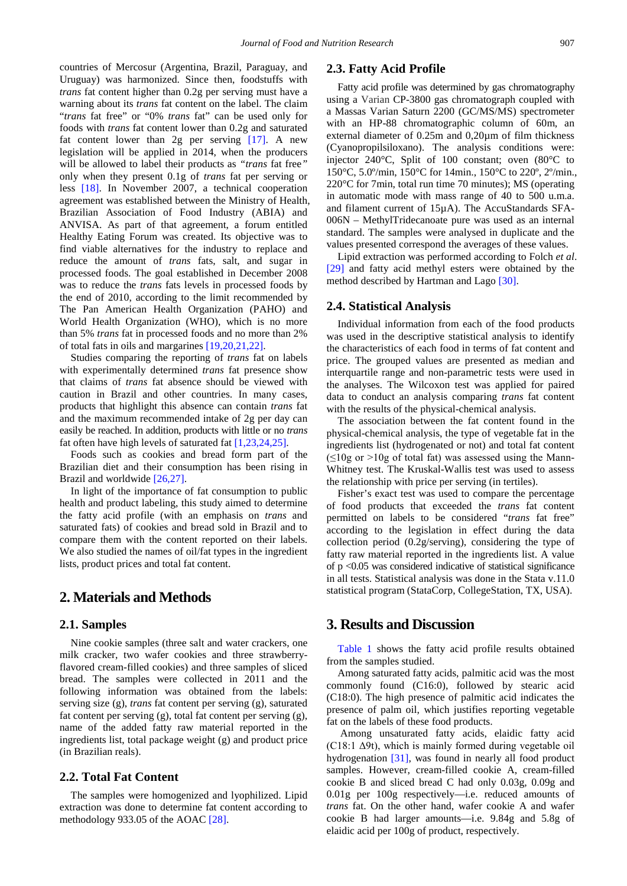countries of Mercosur (Argentina, Brazil, Paraguay, and Uruguay) was harmonized. Since then, foodstuffs with *trans* fat content higher than 0.2g per serving must have a warning about its *trans* fat content on the label. The claim "*trans* fat free" or "0% *trans* fat" can be used only for foods with *trans* fat content lower than 0.2g and saturated fat content lower than 2g per serving [\[17\].](#page-6-3) A new legislation will be applied in 2014, when the producers will be allowed to label their products as *"trans* fat free*"* only when they present 0.1g of *trans* fat per serving or less [\[18\].](#page-6-4) In November 2007, a technical cooperation agreement was established between the Ministry of Health, Brazilian Association of Food Industry (ABIA) and ANVISA. As part of that agreement, a forum entitled Healthy Eating Forum was created. Its objective was to find viable alternatives for the industry to replace and reduce the amount of *trans* fats, salt, and sugar in processed foods. The goal established in December 2008 was to reduce the *trans* fats levels in processed foods by the end of 2010, according to the limit recommended by The Pan American Health Organization (PAHO) and World Health Organization (WHO), which is no more than 5% *trans* fat in processed foods and no more than 2% of total fats in oils and margarines [\[19,20,21,22\].](#page-6-5)

Studies comparing the reporting of *trans* fat on labels with experimentally determined *trans* fat presence show that claims of *trans* fat absence should be viewed with caution in Brazil and other countries. In many cases, products that highlight this absence can contain *trans* fat and the maximum recommended intake of 2g per day can easily be reached. In addition, products with little or no *trans* fat often have high levels of saturated fa[t \[1,23,24,25\].](#page-5-0)

Foods such as cookies and bread form part of the Brazilian diet and their consumption has been rising in Brazil and worldwide [\[26,27\].](#page-6-6)

In light of the importance of fat consumption to public health and product labeling, this study aimed to determine the fatty acid profile (with an emphasis on *trans* and saturated fats) of cookies and bread sold in Brazil and to compare them with the content reported on their labels. We also studied the names of oil/fat types in the ingredient lists, product prices and total fat content.

# **2. Materials and Methods**

#### **2.1. Samples**

Nine cookie samples (three salt and water crackers, one milk cracker, two wafer cookies and three strawberryflavored cream-filled cookies) and three samples of sliced bread. The samples were collected in 2011 and the following information was obtained from the labels: serving size (g), *trans* fat content per serving (g), saturated fat content per serving (g), total fat content per serving (g), name of the added fatty raw material reported in the ingredients list, total package weight (g) and product price (in Brazilian reals).

#### **2.2. Total Fat Content**

The samples were homogenized and lyophilized. Lipid extraction was done to determine fat content according to methodology 933.05 of the AOAC [\[28\].](#page-6-7)

#### **2.3. Fatty Acid Profile**

Fatty acid profile was determined by gas chromatography using a Varian CP-3800 gas chromatograph coupled with a Massas Varian Saturn 2200 (GC/MS/MS) spectrometer with an HP-88 chromatographic column of 60m, an external diameter of 0.25m and 0,20µm of film thickness (Cyanopropilsiloxano). The analysis conditions were: injector 240°C, Split of 100 constant; oven (80°C to 150°C, 5.0º/min, 150°C for 14min., 150°C to 220º, 2º/min., 220°C for 7min, total run time 70 minutes); MS (operating in automatic mode with mass range of 40 to 500 u.m.a. and filament current of 15µA). The AccuStandards SFA-006N – MethylTridecanoate pure was used as an internal standard. The samples were analysed in duplicate and the values presented correspond the averages of these values.

Lipid extraction was performed according to Folch *et al*. [\[29\]](#page-6-8) and fatty acid methyl esters were obtained by the method described by Hartman and Lago [\[30\].](#page-6-9)

#### **2.4. Statistical Analysis**

Individual information from each of the food products was used in the descriptive statistical analysis to identify the characteristics of each food in terms of fat content and price. The grouped values are presented as median and interquartile range and non-parametric tests were used in the analyses. The Wilcoxon test was applied for paired data to conduct an analysis comparing *trans* fat content with the results of the physical-chemical analysis.

The association between the fat content found in the physical-chemical analysis, the type of vegetable fat in the ingredients list (hydrogenated or not) and total fat content  $(\leq 10$ g or >10g of total fat) was assessed using the Mann-Whitney test. The Kruskal-Wallis test was used to assess the relationship with price per serving (in tertiles).

Fisher's exact test was used to compare the percentage of food products that exceeded the *trans* fat content permitted on labels to be considered "*trans* fat free" according to the legislation in effect during the data collection period (0.2g/serving), considering the type of fatty raw material reported in the ingredients list. A value of p <0.05 was considered indicative of statistical significance in all tests. Statistical analysis was done in the Stata v.11.0 statistical program (StataCorp, CollegeStation, TX, USA).

## **3. Results and Discussion**

[Table 1](#page-2-0) shows the fatty acid profile results obtained from the samples studied.

Among saturated fatty acids, palmitic acid was the most commonly found (C16:0), followed by stearic acid (C18:0). The high presence of palmitic acid indicates the presence of palm oil, which justifies reporting vegetable fat on the labels of these food products.

Among unsaturated fatty acids, elaidic fatty acid (C18:1  $\Delta$ 9t), which is mainly formed during vegetable oil hydrogenation [\[31\],](#page-6-10) was found in nearly all food product samples. However, cream-filled cookie A, cream-filled cookie B and sliced bread C had only 0.03g, 0.09g and 0.01g per 100g respectively—i.e. reduced amounts of *trans* fat. On the other hand, wafer cookie A and wafer cookie B had larger amounts—i.e. 9.84g and 5.8g of elaidic acid per 100g of product, respectively.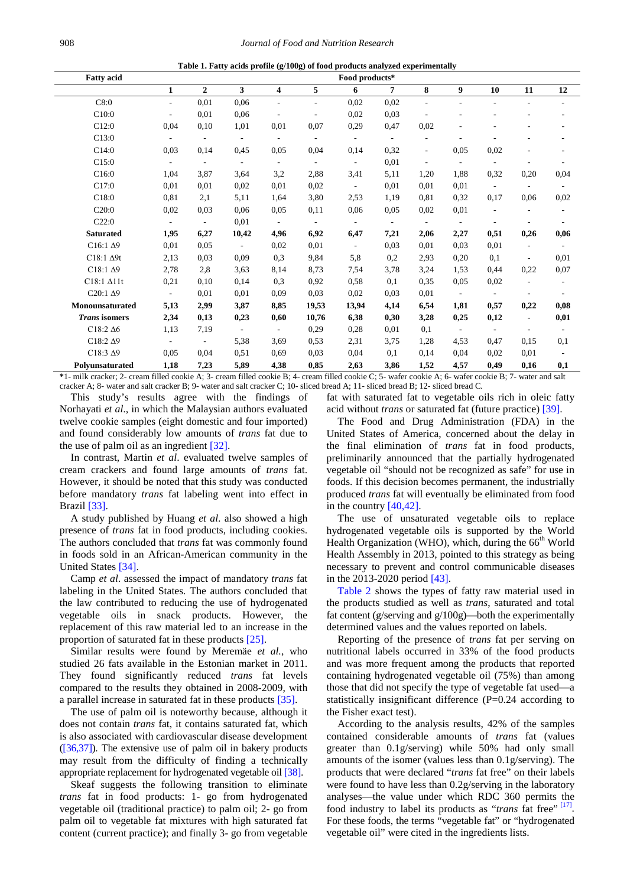| Table 1. Fatty acids profile (g/100g) of food products analyzed experimentally |  |
|--------------------------------------------------------------------------------|--|
|                                                                                |  |

<span id="page-2-0"></span>

| <b>Fatty acid</b>    | Food products*           |                          |                          |                          |                          |                          |                          |                          |                  |                          |                          |                          |
|----------------------|--------------------------|--------------------------|--------------------------|--------------------------|--------------------------|--------------------------|--------------------------|--------------------------|------------------|--------------------------|--------------------------|--------------------------|
|                      | 1                        | $\overline{2}$           | 3                        | 4                        | 5                        | 6                        | $\overline{7}$           | 8                        | $\boldsymbol{9}$ | 10                       | 11                       | 12                       |
| C8:0                 | $\overline{\phantom{a}}$ | 0,01                     | 0,06                     | $\overline{\phantom{a}}$ | $\overline{\phantom{a}}$ | 0,02                     | 0,02                     | $\overline{a}$           |                  |                          | $\overline{\phantom{a}}$ | $\overline{\phantom{a}}$ |
| C10:0                | $\overline{a}$           | 0,01                     | 0,06                     |                          |                          | 0,02                     | 0.03                     |                          |                  |                          |                          |                          |
| C12:0                | 0,04                     | 0,10                     | 1,01                     | 0,01                     | 0,07                     | 0,29                     | 0,47                     | 0.02                     |                  |                          |                          |                          |
| C13:0                | $\overline{\phantom{a}}$ | ٠                        | $\overline{\phantom{a}}$ |                          | $\overline{\phantom{a}}$ | $\sim$                   | $\overline{\phantom{a}}$ | L.                       |                  |                          |                          | ٠                        |
| C14:0                | 0,03                     | 0,14                     | 0,45                     | 0.05                     | 0,04                     | 0,14                     | 0,32                     | $\blacksquare$           | 0,05             | 0,02                     |                          |                          |
| C15:0                | $\overline{\phantom{a}}$ | $\sim$                   | $\overline{\phantom{a}}$ | $\overline{\phantom{a}}$ | $\overline{\phantom{a}}$ | $\sim$                   | 0,01                     | $\mathbf{r}$             |                  | $\overline{\phantom{a}}$ |                          |                          |
| C16:0                | 1,04                     | 3,87                     | 3,64                     | 3,2                      | 2,88                     | 3,41                     | 5,11                     | 1,20                     | 1,88             | 0,32                     | 0,20                     | 0,04                     |
| C17:0                | 0,01                     | 0.01                     | 0,02                     | 0.01                     | 0,02                     | $\sim$                   | 0,01                     | 0,01                     | 0,01             | $\blacksquare$           | $\overline{\phantom{a}}$ | $\overline{\phantom{a}}$ |
| C18:0                | 0,81                     | 2,1                      | 5,11                     | 1,64                     | 3,80                     | 2,53                     | 1,19                     | 0.81                     | 0,32             | 0,17                     | 0,06                     | 0,02                     |
| C20:0                | 0,02                     | 0.03                     | 0,06                     | 0.05                     | 0,11                     | 0,06                     | 0.05                     | 0.02                     | 0,01             | $\overline{\phantom{a}}$ |                          | $\overline{\phantom{a}}$ |
| C22:0                | $\overline{\phantom{a}}$ | $\overline{\phantom{a}}$ | 0,01                     | $\sim$                   | $\overline{\phantom{a}}$ | $\overline{\phantom{a}}$ | $\overline{\phantom{a}}$ | $\overline{\phantom{a}}$ | $\sim$           |                          |                          |                          |
| <b>Saturated</b>     | 1,95                     | 6,27                     | 10,42                    | 4,96                     | 6,92                     | 6,47                     | 7,21                     | 2,06                     | 2,27             | 0,51                     | 0,26                     | 0,06                     |
| $C16:1\ \Delta9$     | 0,01                     | 0.05                     | $\overline{\phantom{a}}$ | 0,02                     | 0,01                     | $\overline{\phantom{a}}$ | 0,03                     | 0,01                     | 0.03             | 0.01                     | $\overline{a}$           |                          |
| $C18:1 \Delta 9t$    | 2,13                     | 0.03                     | 0,09                     | 0,3                      | 9,84                     | 5,8                      | 0,2                      | 2,93                     | 0,20             | 0,1                      |                          | 0,01                     |
| $C18:1\ \Delta9$     | 2,78                     | 2,8                      | 3,63                     | 8,14                     | 8,73                     | 7.54                     | 3,78                     | 3,24                     | 1,53             | 0,44                     | 0,22                     | 0,07                     |
| C18:1 $\Delta$ 11t   | 0,21                     | 0,10                     | 0,14                     | 0,3                      | 0,92                     | 0,58                     | 0,1                      | 0.35                     | 0,05             | 0,02                     |                          | $\overline{\phantom{a}}$ |
| $C20:1\ \Delta 9$    | $\overline{\phantom{a}}$ | 0,01                     | 0,01                     | 0.09                     | 0,03                     | 0,02                     | 0,03                     | 0.01                     | $\sim$           |                          |                          |                          |
| Monounsaturated      | 5,13                     | 2,99                     | 3,87                     | 8,85                     | 19,53                    | 13,94                    | 4,14                     | 6,54                     | 1,81             | 0,57                     | 0,22                     | 0,08                     |
| <b>Trans</b> isomers | 2,34                     | 0,13                     | 0,23                     | 0,60                     | 10,76                    | 6,38                     | 0,30                     | 3,28                     | 0,25             | 0,12                     | $\blacksquare$           | 0,01                     |
| $C18:2\Delta6$       | 1,13                     | 7,19                     | $\sim$                   | $\sim$                   | 0,29                     | 0,28                     | 0,01                     | 0,1                      | $\sim$           | $\sim$                   | $\overline{a}$           | $\overline{\phantom{a}}$ |
| $C18:2\ \Delta9$     | $\overline{\phantom{a}}$ | $\overline{\phantom{a}}$ | 5,38                     | 3,69                     | 0,53                     | 2,31                     | 3,75                     | 1,28                     | 4,53             | 0,47                     | 0,15                     | 0,1                      |
| $C18:3\ \Delta9$     | 0,05                     | 0,04                     | 0,51                     | 0.69                     | 0,03                     | 0,04                     | 0,1                      | 0.14                     | 0,04             | 0,02                     | 0,01                     |                          |
| Polyunsaturated      | 1,18                     | 7,23                     | 5,89                     | 4,38                     | 0,85                     | 2,63                     | 3,86                     | 1,52                     | 4,57             | 0,49                     | 0,16                     | 0,1                      |

**\***1- milk cracker; 2- cream filled cookie A; 3- cream filled cookie B; 4- cream filled cookie C; 5- wafer cookie A; 6- wafer cookie B; 7- water and salt cracker A; 8- water and salt cracker B; 9- water and salt cracker C; 10- sliced bread A; 11- sliced bread B; 12- sliced bread C.

This study's results agree with the findings of Norhayati *et al*., in which the Malaysian authors evaluated twelve cookie samples (eight domestic and four imported) and found considerably low amounts of *trans* fat due to the use of palm oil as an ingredient [\[32\].](#page-6-11)

In contrast, Martin *et al*. evaluated twelve samples of cream crackers and found large amounts of *trans* fat. However, it should be noted that this study was conducted before mandatory *trans* fat labeling went into effect in Brazi[l \[33\].](#page-6-12)

A study published by Huang *et al*. also showed a high presence of *trans* fat in food products, including cookies. The authors concluded that *trans* fat was commonly found in foods sold in an African-American community in the United States [\[34\].](#page-6-13)

Camp *et al*. assessed the impact of mandatory *trans* fat labeling in the United States. The authors concluded that the law contributed to reducing the use of hydrogenated vegetable oils in snack products. However, the replacement of this raw material led to an increase in the proportion of saturated fat in these products [\[25\].](#page-6-14)

Similar results were found by Meremäe *et al.*, who studied 26 fats available in the Estonian market in 2011. They found significantly reduced *trans* fat levels compared to the results they obtained in 2008-2009, with a parallel increase in saturated fat in these products [\[35\].](#page-6-15)

The use of palm oil is noteworthy because, although it does not contain *trans* fat, it contains saturated fat, which is also associated with cardiovascular disease development [\(\[36,37\]\)](#page-6-16). The extensive use of palm oil in bakery products may result from the difficulty of finding a technically appropriate replacement for hydrogenated vegetable oil [\[38\].](#page-6-17)

Skeaf suggests the following transition to eliminate *trans* fat in food products: 1- go from hydrogenated vegetable oil (traditional practice) to palm oil; 2- go from palm oil to vegetable fat mixtures with high saturated fat content (current practice); and finally 3- go from vegetable fat with saturated fat to vegetable oils rich in oleic fatty acid without *trans* or saturated fat (future practice) [\[39\].](#page-6-18)

The Food and Drug Administration (FDA) in the United States of America, concerned about the delay in the final elimination of *trans* fat in food products, preliminarily announced that the partially hydrogenated vegetable oil "should not be recognized as safe" for use in foods. If this decision becomes permanent, the industrially produced *trans* fat will eventually be eliminated from food in the country [\[40,42\].](#page-6-19)

The use of unsaturated vegetable oils to replace hydrogenated vegetable oils is supported by the World Health Organization (WHO), which, during the 66<sup>th</sup> World Health Assembly in 2013, pointed to this strategy as being necessary to prevent and control communicable diseases in the 2013-2020 period [\[43\].](#page-6-20)

[Table 2](#page-3-0) shows the types of fatty raw material used in the products studied as well as *trans*, saturated and total fat content (g/serving and g/100g)—both the experimentally determined values and the values reported on labels.

Reporting of the presence of *trans* fat per serving on nutritional labels occurred in 33% of the food products and was more frequent among the products that reported containing hydrogenated vegetable oil (75%) than among those that did not specify the type of vegetable fat used—a statistically insignificant difference (P=0.24 according to the Fisher exact test).

According to the analysis results, 42% of the samples contained considerable amounts of *trans* fat (values greater than 0.1g/serving) while 50% had only small amounts of the isomer (values less than 0.1g/serving). The products that were declared "*trans* fat free" on their labels were found to have less than 0.2g/serving in the laboratory analyses—the value under which RDC 360 permits the food industry to label its products as "*trans* fat free" [\[17\].](#page-6-3) For these foods, the terms "vegetable fat" or "hydrogenated vegetable oil" were cited in the ingredients lists.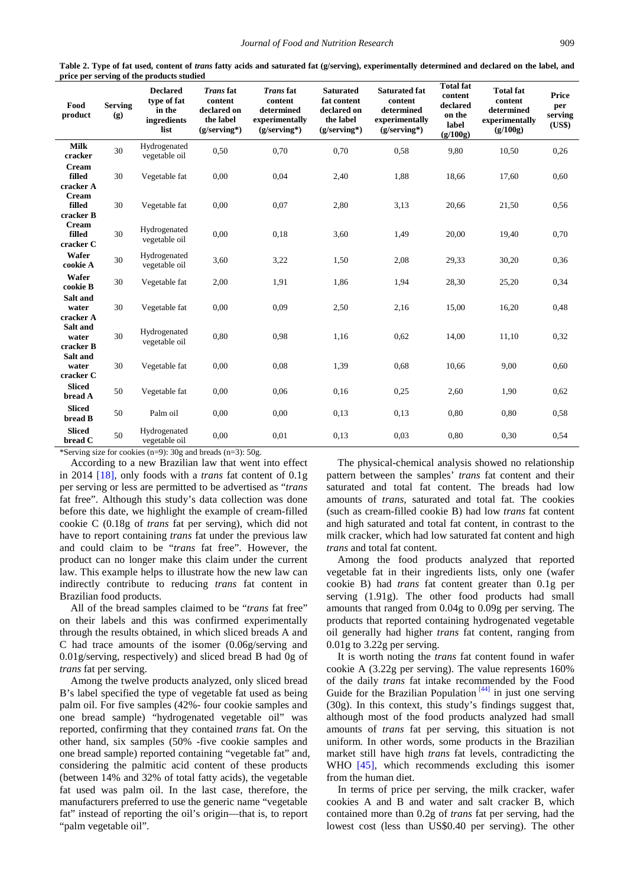<span id="page-3-0"></span>

|                                     |                       | pi vuutto staattu                                               |                                                                                 |                                                                               |                                                                               |                                                                                 |                                                                        |                                                                         |                                          |
|-------------------------------------|-----------------------|-----------------------------------------------------------------|---------------------------------------------------------------------------------|-------------------------------------------------------------------------------|-------------------------------------------------------------------------------|---------------------------------------------------------------------------------|------------------------------------------------------------------------|-------------------------------------------------------------------------|------------------------------------------|
| Food<br>product                     | <b>Serving</b><br>(g) | <b>Declared</b><br>type of fat<br>in the<br>ingredients<br>list | <b>Transfat</b><br>content<br>declared on<br>the label<br>$(g/\text{serving*})$ | <b>Trans</b> fat<br>content<br>determined<br>experimentally<br>$(g/serving*)$ | <b>Saturated</b><br>fat content<br>declared on<br>the label<br>$(g/serving*)$ | <b>Saturated fat</b><br>content<br>determined<br>experimentally<br>(g/serving*) | <b>Total fat</b><br>content<br>declared<br>on the<br>label<br>(g/100g) | <b>Total fat</b><br>content<br>determined<br>experimentally<br>(g/100g) | <b>Price</b><br>per<br>serving<br>(US\$) |
| <b>Milk</b><br>cracker              | 30                    | Hydrogenated<br>vegetable oil                                   | 0,50                                                                            | 0,70                                                                          | 0,70                                                                          | 0,58                                                                            | 9,80                                                                   | 10,50                                                                   | 0,26                                     |
| Cream<br>filled<br>cracker A        | 30                    | Vegetable fat                                                   | 0,00                                                                            | 0,04                                                                          | 2,40                                                                          | 1,88                                                                            | 18,66                                                                  | 17,60                                                                   | 0,60                                     |
| <b>Cream</b><br>filled<br>cracker B | 30                    | Vegetable fat                                                   | 0,00                                                                            | 0,07                                                                          | 2,80                                                                          | 3,13                                                                            | 20,66                                                                  | 21,50                                                                   | 0,56                                     |
| <b>Cream</b><br>filled<br>cracker C | 30                    | Hydrogenated<br>vegetable oil                                   | 0,00                                                                            | 0,18                                                                          | 3,60                                                                          | 1,49                                                                            | 20,00                                                                  | 19,40                                                                   | 0,70                                     |
| Wafer<br>cookie A                   | 30                    | Hydrogenated<br>vegetable oil                                   | 3,60                                                                            | 3,22                                                                          | 1,50                                                                          | 2,08                                                                            | 29,33                                                                  | 30,20                                                                   | 0,36                                     |
| Wafer<br>cookie B                   | 30                    | Vegetable fat                                                   | 2,00                                                                            | 1,91                                                                          | 1,86                                                                          | 1,94                                                                            | 28,30                                                                  | 25,20                                                                   | 0,34                                     |
| Salt and<br>water<br>cracker A      | 30                    | Vegetable fat                                                   | 0,00                                                                            | 0,09                                                                          | 2,50                                                                          | 2,16                                                                            | 15,00                                                                  | 16,20                                                                   | 0,48                                     |
| Salt and<br>water<br>cracker B      | 30                    | Hydrogenated<br>vegetable oil                                   | 0,80                                                                            | 0,98                                                                          | 1,16                                                                          | 0,62                                                                            | 14,00                                                                  | 11,10                                                                   | 0,32                                     |
| Salt and<br>water<br>cracker C      | 30                    | Vegetable fat                                                   | 0,00                                                                            | 0,08                                                                          | 1,39                                                                          | 0.68                                                                            | 10,66                                                                  | 9,00                                                                    | 0,60                                     |
| <b>Sliced</b><br>bread A            | 50                    | Vegetable fat                                                   | 0,00                                                                            | 0,06                                                                          | 0,16                                                                          | 0,25                                                                            | 2,60                                                                   | 1,90                                                                    | 0,62                                     |
| <b>Sliced</b><br>bread B            | 50                    | Palm oil                                                        | 0,00                                                                            | 0,00                                                                          | 0,13                                                                          | 0,13                                                                            | 0,80                                                                   | 0,80                                                                    | 0,58                                     |
| <b>Sliced</b><br>bread C            | 50                    | Hydrogenated<br>vegetable oil                                   | 0,00                                                                            | 0,01                                                                          | 0.13                                                                          | 0,03                                                                            | 0.80                                                                   | 0,30                                                                    | 0,54                                     |

**Table 2. Type of fat used, content of** *trans* **fatty acids and saturated fat (g/serving), experimentally determined and declared on the label, and price per serving of the products studied**

\*Serving size for cookies (n=9): 30g and breads (n=3): 50g.

According to a new Brazilian law that went into effect in 2014 [\[18\],](#page-6-4) only foods with a *trans* fat content of 0.1g per serving or less are permitted to be advertised as "*trans* fat free". Although this study's data collection was done before this date, we highlight the example of cream-filled cookie C (0.18g of *trans* fat per serving), which did not have to report containing *trans* fat under the previous law and could claim to be "*trans* fat free". However, the product can no longer make this claim under the current law. This example helps to illustrate how the new law can indirectly contribute to reducing *trans* fat content in Brazilian food products.

All of the bread samples claimed to be "*trans* fat free" on their labels and this was confirmed experimentally through the results obtained, in which sliced breads A and C had trace amounts of the isomer (0.06g/serving and 0.01g/serving, respectively) and sliced bread B had 0g of *trans* fat per serving.

Among the twelve products analyzed, only sliced bread B's label specified the type of vegetable fat used as being palm oil. For five samples (42%- four cookie samples and one bread sample) "hydrogenated vegetable oil" was reported, confirming that they contained *trans* fat. On the other hand, six samples (50% -five cookie samples and one bread sample) reported containing "vegetable fat" and, considering the palmitic acid content of these products (between 14% and 32% of total fatty acids), the vegetable fat used was palm oil. In the last case, therefore, the manufacturers preferred to use the generic name "vegetable fat" instead of reporting the oil's origin—that is, to report "palm vegetable oil".

The physical-chemical analysis showed no relationship pattern between the samples' *trans* fat content and their saturated and total fat content. The breads had low amounts of *trans*, saturated and total fat. The cookies (such as cream-filled cookie B) had low *trans* fat content and high saturated and total fat content, in contrast to the milk cracker, which had low saturated fat content and high *trans* and total fat content.

Among the food products analyzed that reported vegetable fat in their ingredients lists, only one (wafer cookie B) had *trans* fat content greater than 0.1g per serving (1.91g). The other food products had small amounts that ranged from 0.04g to 0.09g per serving. The products that reported containing hydrogenated vegetable oil generally had higher *trans* fat content, ranging from 0.01g to 3.22g per serving.

It is worth noting the *trans* fat content found in wafer cookie A (3.22g per serving). The value represents 160% of the daily *trans* fat intake recommended by the Food Guide for the Brazilian Population  $[44]$  in just one serving (30g). In this context, this study's findings suggest that, although most of the food products analyzed had small amounts of *trans* fat per serving, this situation is not uniform. In other words, some products in the Brazilian market still have high *trans* fat levels, contradicting the WHO [\[45\],](#page-6-22) which recommends excluding this isomer from the human diet.

In terms of price per serving, the milk cracker, wafer cookies A and B and water and salt cracker B, which contained more than 0.2g of *trans* fat per serving, had the lowest cost (less than US\$0.40 per serving). The other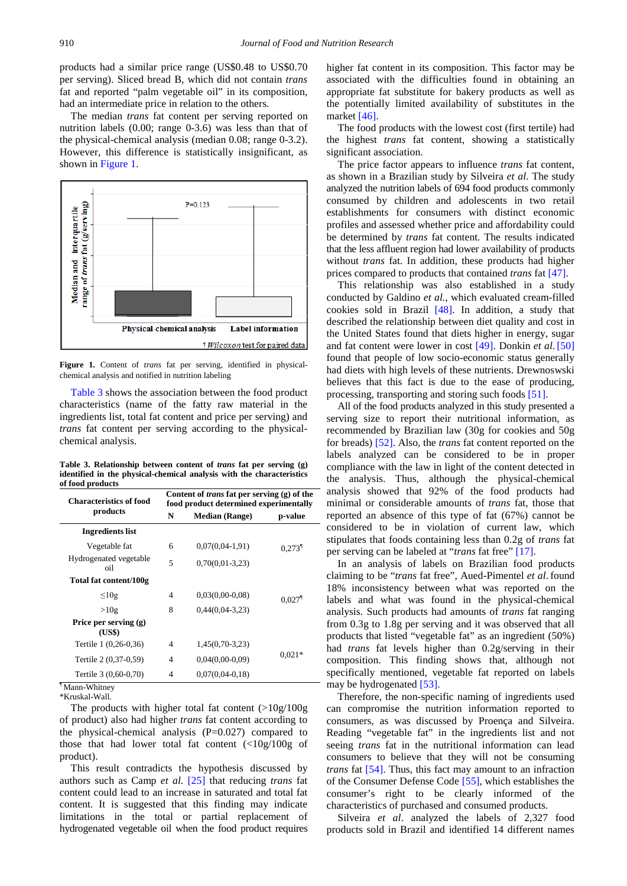products had a similar price range (US\$0.48 to US\$0.70 per serving). Sliced bread B, which did not contain *trans* fat and reported "palm vegetable oil" in its composition, had an intermediate price in relation to the others.

The median *trans* fat content per serving reported on nutrition labels (0.00; range 0-3.6) was less than that of the physical-chemical analysis (median 0.08; range 0-3.2). However, this difference is statistically insignificant, as shown in [Figure 1.](#page-4-0)

<span id="page-4-0"></span>

**Figure 1.** Content of *trans* fat per serving, identified in physicalchemical analysis and notified in nutrition labeling

[Table 3](#page-4-1) shows the association between the food product characteristics (name of the fatty raw material in the ingredients list, total fat content and price per serving) and *trans* fat content per serving according to the physicalchemical analysis.

**Table 3. Relationship between content of** *trans* **fat per serving (g) identified in the physical-chemical analysis with the characteristics of food products**

<span id="page-4-1"></span>

| <b>Characteristics of food</b>                             | Content of <i>trans</i> fat per serving (g) of the<br>food product determined experimentally |                       |                      |  |  |  |
|------------------------------------------------------------|----------------------------------------------------------------------------------------------|-----------------------|----------------------|--|--|--|
| products                                                   | N                                                                                            | <b>Median (Range)</b> | p-value              |  |  |  |
| <b>Ingredients list</b>                                    |                                                                                              |                       |                      |  |  |  |
| Vegetable fat                                              | 6                                                                                            | $0,07(0,04-1,91)$     | $0.273$ <sup>1</sup> |  |  |  |
| Hydrogenated vegetable<br>oil                              | 5                                                                                            | $0,70(0,01-3,23)$     |                      |  |  |  |
| Total fat content/100g                                     |                                                                                              |                       |                      |  |  |  |
| $\leq 10g$                                                 | $\overline{4}$                                                                               | $0,03(0,00-0,08)$     | $0.027$ <sup>1</sup> |  |  |  |
| >10g                                                       | 8                                                                                            | $0.44(0.04 - 3.23)$   |                      |  |  |  |
| Price per serving (g)<br>(US\$)                            |                                                                                              |                       |                      |  |  |  |
| Tertile 1 (0,26-0,36)                                      | 4                                                                                            | $1,45(0,70-3,23)$     |                      |  |  |  |
| Tertile 2 (0,37-0,59)                                      | $\overline{4}$                                                                               | $0,04(0,00-0,09)$     | $0.021*$             |  |  |  |
| Tertile 3 (0,60-0,70)<br>$\overline{\cdot}$<br>$- - - - -$ | 4                                                                                            | $0,07(0,04-0,18)$     |                      |  |  |  |

¶ Mann-Whitney \*Kruskal-Wall.

The products with higher total fat content  $(>10g/100g)$ of product) also had higher *trans* fat content according to the physical-chemical analysis  $(P=0.027)$  compared to those that had lower total fat content (<10g/100g of product).

This result contradicts the hypothesis discussed by authors such as Camp *et al*. [\[25\]](#page-6-14) that reducing *trans* fat content could lead to an increase in saturated and total fat content. It is suggested that this finding may indicate limitations in the total or partial replacement of hydrogenated vegetable oil when the food product requires

higher fat content in its composition. This factor may be associated with the difficulties found in obtaining an appropriate fat substitute for bakery products as well as the potentially limited availability of substitutes in the market [\[46\].](#page-6-23)

The food products with the lowest cost (first tertile) had the highest *trans* fat content, showing a statistically significant association.

The price factor appears to influence *trans* fat content, as shown in a Brazilian study by Silveira *et al*. The study analyzed the nutrition labels of 694 food products commonly consumed by children and adolescents in two retail establishments for consumers with distinct economic profiles and assessed whether price and affordability could be determined by *trans* fat content. The results indicated that the less affluent region had lower availability of products without *trans* fat. In addition, these products had higher prices compared to products that contained *trans* fa[t \[47\].](#page-6-24)

This relationship was also established in a study conducted by Galdino *et al.*, which evaluated cream-filled cookies sold in Brazil [\[48\].](#page-6-25) In addition, a study that described the relationship between diet quality and cost in the United States found that diets higher in energy, sugar and fat content were lower in cost [\[49\].](#page-6-26) Donkin *et al*. [\[50\]](#page-7-0) found that people of low socio-economic status generally had diets with high levels of these nutrients. Drewnoswski believes that this fact is due to the ease of producing, processing, transporting and storing such foods [\[51\].](#page-7-1)

All of the food products analyzed in this study presented a serving size to report their nutritional information, as recommended by Brazilian law (30g for cookies and 50g for breads) [\[52\].](#page-7-2) Also, the *trans* fat content reported on the labels analyzed can be considered to be in proper compliance with the law in light of the content detected in the analysis. Thus, although the physical-chemical analysis showed that 92% of the food products had minimal or considerable amounts of *trans* fat, those that reported an absence of this type of fat (67%) cannot be considered to be in violation of current law, which stipulates that foods containing less than 0.2g of *trans* fat per serving can be labeled at "*trans* fat free" [\[17\].](#page-6-3)

In an analysis of labels on Brazilian food products claiming to be "*trans* fat free", Aued-Pimentel *et al*. found 18% inconsistency between what was reported on the labels and what was found in the physical-chemical analysis. Such products had amounts of *trans* fat ranging from 0.3g to 1.8g per serving and it was observed that all products that listed "vegetable fat" as an ingredient (50%) had *trans* fat levels higher than 0.2g/serving in their composition. This finding shows that, although not specifically mentioned, vegetable fat reported on labels may be hydrogenated [\[53\].](#page-7-3)

Therefore, the non-specific naming of ingredients used can compromise the nutrition information reported to consumers, as was discussed by Proença and Silveira. Reading "vegetable fat" in the ingredients list and not seeing *trans* fat in the nutritional information can lead consumers to believe that they will not be consuming *trans* fat [\[54\].](#page-7-4) Thus, this fact may amount to an infraction of the Consumer Defense Cod[e \[55\],](#page-7-5) which establishes the consumer's right to be clearly informed of the characteristics of purchased and consumed products.

Silveira *et al*. analyzed the labels of 2,327 food products sold in Brazil and identified 14 different names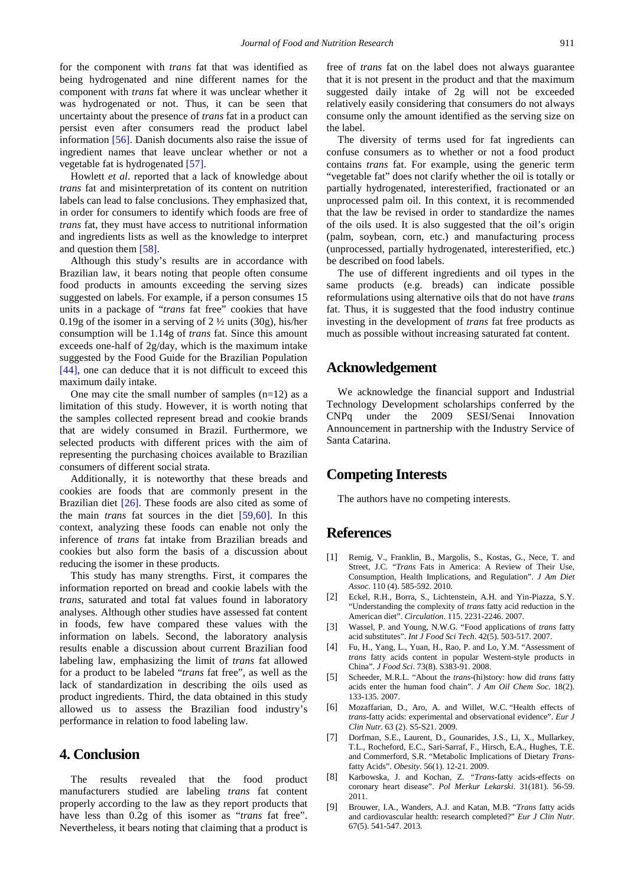for the component with *trans* fat that was identified as being hydrogenated and nine different names for the component with *trans* fat where it was unclear whether it was hydrogenated or not. Thus, it can be seen that uncertainty about the presence of *trans* fat in a product can persist even after consumers read the product label information [\[56\].](#page-7-6) Danish documents also raise the issue of ingredient names that leave unclear whether or not a vegetable fat is hydrogenated [\[57\].](#page-7-7)

Howlett *et al*. reported that a lack of knowledge about *trans* fat and misinterpretation of its content on nutrition labels can lead to false conclusions. They emphasized that, in order for consumers to identify which foods are free of *trans* fat, they must have access to nutritional information and ingredients lists as well as the knowledge to interpret and question them [\[58\].](#page-7-8)

Although this study's results are in accordance with Brazilian law, it bears noting that people often consume food products in amounts exceeding the serving sizes suggested on labels. For example, if a person consumes 15 units in a package of "*trans* fat free" cookies that have 0.19g of the isomer in a serving of 2 ½ units (30g), his/her consumption will be 1.14g of *trans* fat. Since this amount exceeds one-half of 2g/day, which is the maximum intake suggested by the Food Guide for the Brazilian Population [\[44\],](#page-6-21) one can deduce that it is not difficult to exceed this maximum daily intake.

One may cite the small number of samples  $(n=12)$  as a limitation of this study. However, it is worth noting that the samples collected represent bread and cookie brands that are widely consumed in Brazil. Furthermore, we selected products with different prices with the aim of representing the purchasing choices available to Brazilian consumers of different social strata.

Additionally, it is noteworthy that these breads and cookies are foods that are commonly present in the Brazilian diet [\[26\].](#page-6-6) These foods are also cited as some of the main *trans* fat sources in the diet [\[59,60\].](#page-7-9) In this context, analyzing these foods can enable not only the inference of *trans* fat intake from Brazilian breads and cookies but also form the basis of a discussion about reducing the isomer in these products.

This study has many strengths. First, it compares the information reported on bread and cookie labels with the *trans*, saturated and total fat values found in laboratory analyses. Although other studies have assessed fat content in foods, few have compared these values with the information on labels. Second, the laboratory analysis results enable a discussion about current Brazilian food labeling law, emphasizing the limit of *trans* fat allowed for a product to be labeled "*trans* fat free", as well as the lack of standardization in describing the oils used as product ingredients. Third, the data obtained in this study allowed us to assess the Brazilian food industry's performance in relation to food labeling law.

# **4. Conclusion**

The results revealed that the food product manufacturers studied are labeling *trans* fat content properly according to the law as they report products that have less than 0.2g of this isomer as "*trans* fat free". Nevertheless, it bears noting that claiming that a product is free of *trans* fat on the label does not always guarantee that it is not present in the product and that the maximum suggested daily intake of 2g will not be exceeded relatively easily considering that consumers do not always consume only the amount identified as the serving size on the label.

The diversity of terms used for fat ingredients can confuse consumers as to whether or not a food product contains *trans* fat. For example, using the generic term "vegetable fat" does not clarify whether the oil is totally or partially hydrogenated, interesterified, fractionated or an unprocessed palm oil. In this context, it is recommended that the law be revised in order to standardize the names of the oils used. It is also suggested that the oil's origin (palm, soybean, corn, etc.) and manufacturing process (unprocessed, partially hydrogenated, interesterified, etc.) be described on food labels.

The use of different ingredients and oil types in the same products (e.g. breads) can indicate possible reformulations using alternative oils that do not have *trans* fat. Thus, it is suggested that the food industry continue investing in the development of *trans* fat free products as much as possible without increasing saturated fat content.

# **Acknowledgement**

We acknowledge the financial support and Industrial Technology Development scholarships conferred by the CNPq under the 2009 SESI/Senai Innovation Announcement in partnership with the Industry Service of Santa Catarina.

## **Competing Interests**

The authors have no competing interests.

## **References**

- <span id="page-5-0"></span>[1] Remig, V., Franklin, B., Margolis, S., Kostas, G., Nece, T. and Street, J.C. "*Trans* Fats in America: A Review of Their Use, Consumption, Health Implications, and Regulation". *J Am Diet Assoc*. 110 (4). 585-592. 2010.
- <span id="page-5-1"></span>[2] Eckel, R.H., Borra, S., Lichtenstein, A.H. and Yin-Piazza, S.Y. "Understanding the complexity of *trans* fatty acid reduction in the American diet". *Circulation*. 115. 2231-2246. 2007.
- [3] Wassel, P. and Young, N.W.G. "Food applications of *trans* fatty acid substitutes". *Int J Food Sci Tech*. 42(5). 503-517. 2007.
- [4] Fu, H., Yang, L., Yuan, H., Rao, P. and Lo, Y.M. "Assessment of *trans* fatty acids content in popular Western-style products in China". *J Food Sci*. 73(8). S383-91. 2008.
- <span id="page-5-2"></span>[5] Scheeder, M.R.L. "About the *trans*-(hi)story: how did *trans* fatty acids enter the human food chain". *J Am Oil Chem Soc*. 18(2). 133-135. 2007.
- <span id="page-5-3"></span>[6] Mozaffarian, D., Aro, A. and Willet, W.C. "Health effects of *trans*-fatty acids: experimental and observational evidence". *Eur J Clin Nutr*. 63 (2). S5-S21. 2009.
- [7] Dorfman, S.E., Laurent, D., Gounarides, J.S., Li, X., Mullarkey, T.L., Rocheford, E.C., Sari-Sarraf, F., Hirsch, E.A., Hughes, T.E. and Commerford, S.R. "Metabolic Implications of Dietary *Trans*fatty Acids". *Obesity*. 56(1). 12-21. 2009.
- [8] Karbowska, J. and Kochan, Z. *"Trans*-fatty acids-effects on coronary heart disease". *Pol Merkur Lekarski*. 31(181). 56-59. 2011.
- [9] Brouwer, I.A., Wanders, A.J. and Katan, M.B. "*Trans* fatty acids and cardiovascular health: research completed?" *Eur J Clin Nutr*. 67(5). 541-547. 2013.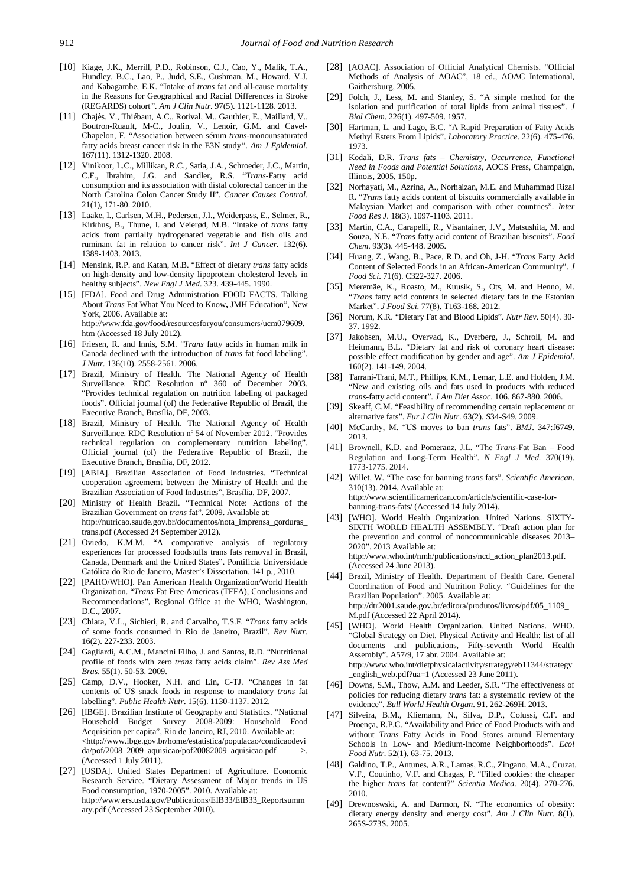- [10] Kiage, J.K., Merrill, P.D., Robinson, C.J., Cao, Y., Malik, T.A., Hundley, B.C., Lao, P., Judd, S.E., Cushman, M., Howard, V.J. and Kabagambe, E.K. "Intake of *trans* fat and all-cause mortality in the Reasons for Geographical and Racial Differences in Stroke (REGARDS) cohort*". Am J Clin Nutr*. 97(5). 1121-1128. 2013.
- <span id="page-6-0"></span>[11] Chajès, V., Thiébaut, A.C., Rotival, M., Gauthier, E., Maillard, V., Boutron-Ruault, M-C., Joulin, V., Lenoir, G.M. and Cavel-Chapelon, F. "Association between sérum *trans*-monounsaturated fatty acids breast cancer risk in the E3N study*". Am J Epidemiol*. 167(11). 1312-1320. 2008.
- [12] Vinikoor, L.C., Millikan, R.C., Satia, J.A., Schroeder, J.C., Martin, C.F., Ibrahim, J.G. and Sandler, R.S. "*Trans*-Fatty acid consumption and its association with distal colorectal cancer in the North Carolina Colon Cancer Study II". *Cancer Causes Control*. 21(1), 171-80. 2010.
- [13] Laake, I., Carlsen, M.H., Pedersen, J.I., Weiderpass, E., Selmer, R., Kirkhus, B., Thune, I. and Veierød, M.B. "Intake of *trans* fatty acids from partially hydrogenated vegetable and fish oils and ruminant fat in relation to cancer risk". *Int J Cancer*. 132(6). 1389-1403. 2013.
- <span id="page-6-1"></span>[14] Mensink, R.P. and Katan, M.B. "Effect of dietary *trans* fatty acids on high-density and low-density lipoprotein cholesterol levels in healthy subjects". *New Engl J Med*. 323. 439-445. 1990.
- <span id="page-6-2"></span>[15] [FDA]. Food and Drug Administration FOOD FACTS. Talking About *Trans* Fat What You Need to Know**,** JMH Education", New York, 2006. Available at: http://www.fda.gov/food/resourcesforyou/consumers/ucm079609. htm (Accessed 18 July 2012).
- [16] Friesen, R. and Innis, S.M. "*Trans* fatty acids in human milk in Canada declined with the introduction of *trans* fat food labeling". *J Nutr.* 136(10). 2558-2561. 2006.
- <span id="page-6-3"></span>[17] Brazil, Ministry of Health. The National Agency of Health Surveillance. RDC Resolution nº 360 of December 2003. "Provides technical regulation on nutrition labeling of packaged foods". Official journal (of) the Federative Republic of Brazil, the Executive Branch, Brasília, DF, 2003.
- <span id="page-6-4"></span>[18] Brazil, Ministry of Health. The National Agency of Health Surveillance. RDC Resolution nº 54 of November 2012. "Provides technical regulation on complementary nutrition labeling". Official journal (of) the Federative Republic of Brazil, the Executive Branch, Brasília, DF, 2012.
- <span id="page-6-5"></span>[19] [ABIA]. Brazilian Association of Food Industries. "Technical cooperation agreememt between the Ministry of Health and the Brazilian Association of Food Industries", Brasília, DF, 2007.
- [20] Ministry of Health Brazil. "Technical Note: Actions of the Brazilian Government on *trans* fat". 2009. Available at: http://nutricao.saude.gov.br/documentos/nota\_imprensa\_gorduras\_ trans.pdf (Accessed 24 September 2012).
- [21] Oviedo, K.M.M. "A comparative analysis of regulatory experiences for processed foodstuffs trans fats removal in Brazil, Canada, Denmark and the United States". Pontifícia Universidade Católica do Rio de Janeiro, Master's Dissertation, 141 p., 2010.
- [22] [PAHO/WHO]. Pan American Health Organization/World Health Organization. "*Trans* Fat Free Americas (TFFA), Conclusions and Recommendations", Regional Office at the WHO, Washington, D.C., 2007.
- [23] Chiara, V.L., Sichieri, R. and Carvalho, T.S.F. "*Trans* fatty acids of some foods consumed in Rio de Janeiro, Brazil". *Rev Nutr*. 16(2). 227-233. 2003.
- [24] Gagliardi, A.C.M., Mancini Filho, J. and Santos, R.D. "Nutritional profile of foods with zero *trans* fatty acids claim". *Rev Ass Med Bras*. 55(1). 50-53. 2009.
- <span id="page-6-14"></span>[25] Camp, D.V., Hooker, N.H. and Lin, C-TJ. "Changes in fat contents of US snack foods in response to mandatory *trans* fat labelling". *Public Health Nutr*. 15(6). 1130-1137. 2012.
- <span id="page-6-6"></span>[26] [IBGE]. Brazilian Institute of Geography and Statistics. "National Household Budget Survey 2008-2009: Household Food Acquisition per capita", Rio de Janeiro, RJ, 2010. Available at: <http://www.ibge.gov.br/home/estatistica/populacao/condicaodevi  $da/pof/2008_2009_4$ aquisicao/pof20082009<sub>1</sub> aquisicao.pdf >. (Accessed 1 July 2011).
- [27] [USDA]. United States Department of Agriculture. Economic Research Service. "Dietary Assessment of Major trends in US Food consumption, 1970-2005". 2010. Available at: http://www.ers.usda.gov/Publications/EIB33/EIB33\_Reportsumm ary.pdf (Accessed 23 September 2010).
- <span id="page-6-7"></span>[28] [AOAC]. Association of Official Analytical Chemists. "Official Methods of Analysis of AOAC", 18 ed., AOAC International, Gaithersburg, 2005.
- <span id="page-6-8"></span>[29] Folch, J., Less, M. and Stanley, S. "A simple method for the isolation and purification of total lipids from animal tissues". *J Biol Chem*. 226(1). 497-509. 1957.
- <span id="page-6-9"></span>[30] Hartman, L. and Lago, B.C. "A Rapid Preparation of Fatty Acids Methyl Esters From Lipids". *Laboratory Practice*. 22(6). 475-476. 1973.
- <span id="page-6-10"></span>[31] Kodali, D.R. *Trans fats – Chemistry, Occurrence, Functional Need in Foods and Potential Solutions*, AOCS Press, Champaign, Illinois, 2005, 150p.
- <span id="page-6-11"></span>[32] Norhayati, M., Azrina, A., Norhaizan, M.E. and Muhammad Rizal R. "*Trans* fatty acids content of biscuits commercially available in Malaysian Market and comparison with other countries". *Inter Food Res J*. 18(3). 1097-1103. 2011.
- <span id="page-6-12"></span>[33] Martin, C.A., Carapelli, R., Visantainer, J.V., Matsushita, M. and Souza, N.E. "*Trans* fatty acid content of Brazilian biscuits". *Food Chem*. 93(3). 445-448. 2005.
- <span id="page-6-13"></span>[34] Huang, Z., Wang, B., Pace, R.D. and Oh, J-H. "*Trans* Fatty Acid Content of Selected Foods in an African-American Community". *J Food Sci*. 71(6). C322-327. 2006.
- <span id="page-6-15"></span>[35] Meremäe, K., Roasto, M., Kuusik, S., Ots, M. and Henno, M. "*Trans* fatty acid contents in selected dietary fats in the Estonian Market". *J Food Sci*. 77(8). T163-168. 2012.
- <span id="page-6-16"></span>[36] Norum, K.R. "Dietary Fat and Blood Lipids". *Nutr Rev*. 50(4). 30- 37. 1992.
- [37] Jakobsen, M.U., Overvad, K., Dyerberg, J., Schroll, M. and Heitmann, B.L. "Dietary fat and risk of coronary heart disease: possible effect modification by gender and age". *Am J Epidemiol*. 160(2). 141-149. 2004.
- <span id="page-6-17"></span>[38] Tarrani-Trani, M.T., Phillips, K.M., Lemar, L.E. and Holden, J.M. "New and existing oils and fats used in products with reduced *trans*-fatty acid content". *J Am Diet Assoc*. 106. 867-880. 2006.
- <span id="page-6-18"></span>[39] Skeaff, C.M. "Feasibility of recommending certain replacement or alternative fats". *Eur J Clin Nutr*. 63(2). S34-S49. 2009.
- <span id="page-6-19"></span>[40] McCarthy, M. "US moves to ban *trans* fats". *BMJ*. 347:f6749. 2013.
- [41] Brownell, K.D. and Pomeranz, J.L. "The *Trans*-Fat Ban Food Regulation and Long-Term Health". *N Engl J Med.* 370(19). 1773-1775. 2014.
- [42] Willet, W. "The case for banning *trans* fats". *Scientific American*. 310(13). 2014. Available at: http://www.scientificamerican.com/article/scientific-case-forbanning-trans-fats/ (Accessed 14 July 2014).
- <span id="page-6-20"></span>[43] [WHO]. World Health Organization. United Nations. SIXTY-SIXTH WORLD HEALTH ASSEMBLY. "Draft action plan for the prevention and control of noncommunicable diseases 2013– 2020". 2013 Available at: http://www.who.int/nmh/publications/ncd\_action\_plan2013.pdf. (Accessed 24 June 2013).
- <span id="page-6-21"></span>[44] Brazil, Ministry of Health. Department of Health Care. General Coordination of Food and Nutrition Policy. "Guidelines for the Brazilian Population". 2005. Available at: http://dtr2001.saude.gov.br/editora/produtos/livros/pdf/05\_1109\_ M.pdf (Accessed 22 April 2014).
- <span id="page-6-22"></span>[45] [WHO]. World Health Organization. United Nations. WHO. "Global Strategy on Diet, Physical Activity and Health: list of all documents and publications, Fifty-seventh World Health Assembly". A57/9, 17 abr. 2004. Available at: http://www.who.int/dietphysicalactivity/strategy/eb11344/strategy \_english\_web.pdf?ua=1 (Accessed 23 June 2011).
- <span id="page-6-23"></span>[46] Downs, S.M., Thow, A.M. and Leeder, S.R. "The effectiveness of policies for reducing dietary *trans* fat: a systematic review of the evidence". *Bull World Health Organ*. 91. 262-269H. 2013.
- <span id="page-6-24"></span>[47] Silveira, B.M., Kliemann, N., Silva, D.P., Colussi, C.F. and Proença, R.P.C. "Availability and Price of Food Products with and without *Trans* Fatty Acids in Food Stores around Elementary Schools in Low- and Medium-Income Neighborhoods". *Ecol Food Nutr*. 52(1). 63-75. 2013.
- <span id="page-6-25"></span>[48] Galdino, T.P., Antunes, A.R., Lamas, R.C., Zingano, M.A., Cruzat, V.F., Coutinho, V.F. and Chagas, P. "Filled cookies: the cheaper the higher *trans* fat content?" *Scientia Medica*. 20(4). 270-276. 2010.
- <span id="page-6-26"></span>[49] Drewnoswski, A. and Darmon, N. "The economics of obesity: dietary energy density and energy cost". *Am J Clin Nutr*. 8(1). 265S-273S. 2005.